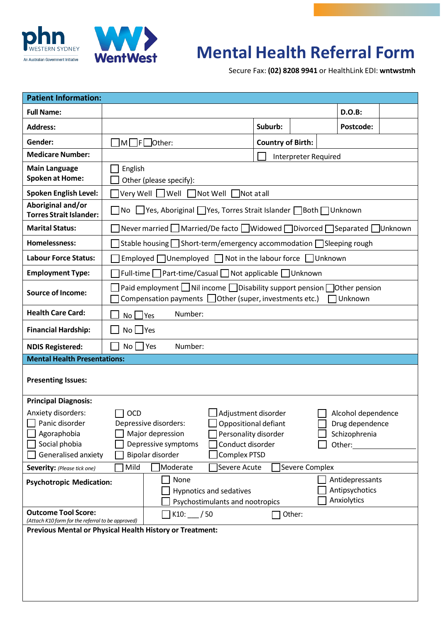



## **Mental Health Referral Form**

Secure Fax: **(02) 8208 9941** or HealthLink EDI: **wntwstmh**

| <b>Patient Information:</b>                                                                                                       |                                                                                                                                                                     |                                                                                      |                                                                                                         |                          |                      |                                                                  |  |  |
|-----------------------------------------------------------------------------------------------------------------------------------|---------------------------------------------------------------------------------------------------------------------------------------------------------------------|--------------------------------------------------------------------------------------|---------------------------------------------------------------------------------------------------------|--------------------------|----------------------|------------------------------------------------------------------|--|--|
| <b>Full Name:</b>                                                                                                                 |                                                                                                                                                                     |                                                                                      |                                                                                                         |                          |                      | D.O.B:                                                           |  |  |
| <b>Address:</b>                                                                                                                   |                                                                                                                                                                     |                                                                                      |                                                                                                         | Suburb:                  |                      | Postcode:                                                        |  |  |
| Gender:                                                                                                                           | $\neg$ M $\neg$ F $\Box$ Other:                                                                                                                                     |                                                                                      |                                                                                                         | <b>Country of Birth:</b> |                      |                                                                  |  |  |
| <b>Medicare Number:</b>                                                                                                           |                                                                                                                                                                     |                                                                                      |                                                                                                         |                          | Interpreter Required |                                                                  |  |  |
| <b>Main Language</b><br><b>Spoken at Home:</b>                                                                                    | English<br>Other (please specify):                                                                                                                                  |                                                                                      |                                                                                                         |                          |                      |                                                                  |  |  |
| <b>Spoken English Level:</b>                                                                                                      | Very Well Well Not Well Not at all                                                                                                                                  |                                                                                      |                                                                                                         |                          |                      |                                                                  |  |  |
| Aboriginal and/or<br><b>Torres Strait Islander:</b>                                                                               | ■ No LVes, Aboriginal TYes, Torres Strait Islander TBoth TUnknown                                                                                                   |                                                                                      |                                                                                                         |                          |                      |                                                                  |  |  |
| <b>Marital Status:</b>                                                                                                            | Never married ■ Married/De facto ■ Widowed ■ Divorced ■ Separated ■ Unknown                                                                                         |                                                                                      |                                                                                                         |                          |                      |                                                                  |  |  |
| <b>Homelessness:</b>                                                                                                              | Stable housing $\Box$ Short-term/emergency accommodation $\Box$ Sleeping rough                                                                                      |                                                                                      |                                                                                                         |                          |                      |                                                                  |  |  |
| <b>Labour Force Status:</b>                                                                                                       | Employed $\Box$ Unemployed $\Box$ Not in the labour force $\Box$ Unknown                                                                                            |                                                                                      |                                                                                                         |                          |                      |                                                                  |  |  |
| <b>Employment Type:</b>                                                                                                           | Full-time   Part-time/Casual   Not applicable   Unknown                                                                                                             |                                                                                      |                                                                                                         |                          |                      |                                                                  |  |  |
| <b>Source of Income:</b>                                                                                                          | Paid employment $\Box$ Nil income $\Box$ Disability support pension $\Box$ Other pension<br>Compensation payments $\Box$ Other (super, investments etc.)<br>Unknown |                                                                                      |                                                                                                         |                          |                      |                                                                  |  |  |
| <b>Health Care Card:</b>                                                                                                          | Number:<br>$No \square Yes$                                                                                                                                         |                                                                                      |                                                                                                         |                          |                      |                                                                  |  |  |
| <b>Financial Hardship:</b>                                                                                                        | $No$ $\Box$ Yes                                                                                                                                                     |                                                                                      |                                                                                                         |                          |                      |                                                                  |  |  |
| <b>NDIS Registered:</b>                                                                                                           | $No \Box Yes$                                                                                                                                                       | Number:                                                                              |                                                                                                         |                          |                      |                                                                  |  |  |
| <b>Mental Health Presentations:</b>                                                                                               |                                                                                                                                                                     |                                                                                      |                                                                                                         |                          |                      |                                                                  |  |  |
| <b>Presenting Issues:</b>                                                                                                         |                                                                                                                                                                     |                                                                                      |                                                                                                         |                          |                      |                                                                  |  |  |
| <b>Principal Diagnosis:</b><br>Anxiety disorders:<br>$\Box$ Panic disorder<br>Agoraphobia<br>Social phobia<br>Generalised anxiety | <b>OCD</b>                                                                                                                                                          | Depressive disorders:<br>Major depression<br>Depressive symptoms<br>Bipolar disorder | Adjustment disorder<br>Oppositional defiant<br>Personality disorder<br>Conduct disorder<br>Complex PTSD |                          |                      | Alcohol dependence<br>Drug dependence<br>Schizophrenia<br>Other: |  |  |
| Severity: (Please tick one)                                                                                                       | Mild                                                                                                                                                                | Moderate                                                                             | Severe Acute                                                                                            |                          | Severe Complex       |                                                                  |  |  |
| <b>Psychotropic Medication:</b>                                                                                                   |                                                                                                                                                                     | None<br><b>Hypnotics and sedatives</b><br>Psychostimulants and nootropics            |                                                                                                         |                          |                      | Antidepressants<br>Antipsychotics<br>Anxiolytics                 |  |  |
| <b>Outcome Tool Score:</b><br>(Attach K10 form for the referral to be approved)                                                   |                                                                                                                                                                     | $\sqrt{1}$ K10: /50                                                                  |                                                                                                         |                          | Other:               |                                                                  |  |  |
| Previous Mental or Physical Health History or Treatment:                                                                          |                                                                                                                                                                     |                                                                                      |                                                                                                         |                          |                      |                                                                  |  |  |
|                                                                                                                                   |                                                                                                                                                                     |                                                                                      |                                                                                                         |                          |                      |                                                                  |  |  |